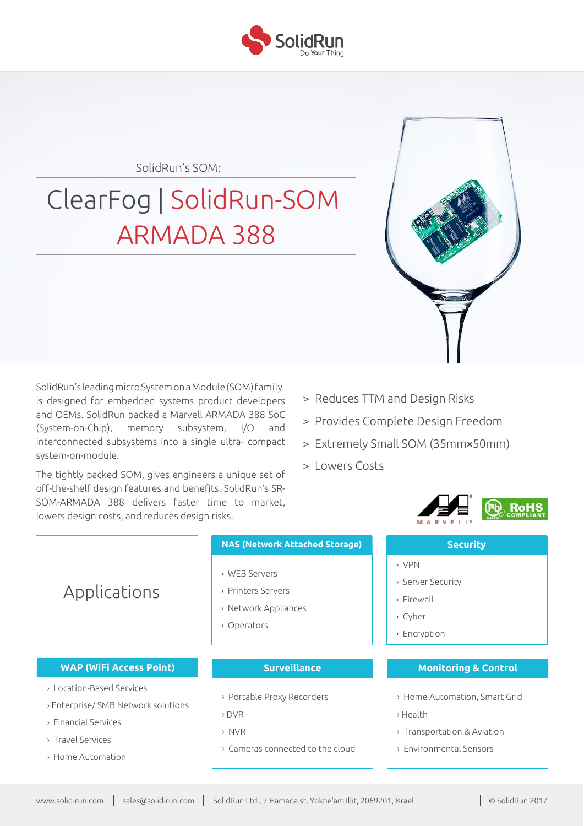

SolidRun's SOM:

# ClearFog | SolidRun-SOM ARMADA 388

SolidRun's leadingmicroSystemon a Module(SOM)family is designed for embedded systems product developers and OEMs. SolidRun packed a Marvell ARMADA 388 SoC (System-on-Chip), memory subsystem, I/O and interconnected subsystems into a single ultra- compact system-on-module.

The tightly packed SOM, gives engineers a unique set of off-the-shelf design features and benefits. SolidRun's SR-SOM-ARMADA 388 delivers faster time to market, lowers design costs, and reduces design risks.

- > Reduces TTM and Design Risks
- > Provides Complete Design Freedom
- > Extremely Small SOM (35mm**×**50mm)

› VPN

› Firewall › Cyber › Encryption

› Server Security

> Lowers Costs



**Security**

# Applications

#### **WAP (WiFi Access Point)**

- › Location-Based Services
- › Enterprise/ SMB Network solutions
- › Financial Services
- › Travel Services
- › Home Automation

## **NAS (Network Attached Storage)**

- › WEB Servers
- › Printers Servers
- › Network Appliances
- › Operators

### **Surveillance**

- › Portable Proxy Recorders
- › DVR
- › NVR
- › Cameras connected to the cloud

## **Monitoring & Control**

- › Home Automation, Smart Grid
- › Health
- › Transportation & Aviation
- › Environmental Sensors